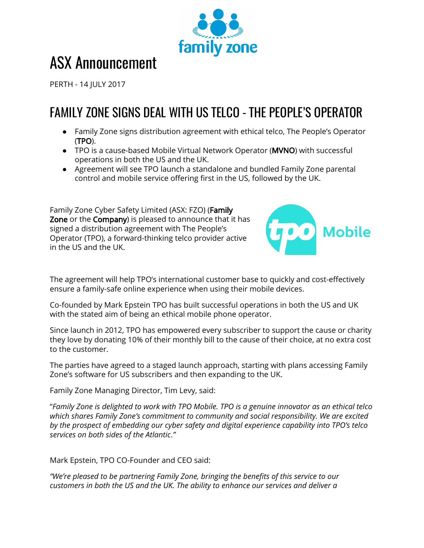

# ASX Announcement

PERTH - 14 JULY 2017

## FAMILY ZONE SIGNS DEAL WITH US TELCO - THE PEOPLE'S OPERATOR

- Family Zone signs distribution agreement with ethical telco, The People's Operator (TPO).
- TPO is a cause-based Mobile Virtual Network Operator (MVNO) with successful operations in both the US and the UK.
- Agreement will see TPO launch a standalone and bundled Family Zone parental control and mobile service offering first in the US, followed by the UK.

Family Zone Cyber Safety Limited (ASX: FZO) (Family Zone or the Company) is pleased to announce that it has signed a distribution agreement with The People's Operator (TPO), a forward-thinking telco provider active in the US and the UK.



The agreement will help TPO's international customer base to quickly and cost-effectively ensure a family-safe online experience when using their mobile devices.

Co-founded by Mark Epstein TPO has built successful operations in both the US and UK with the stated aim of being an ethical mobile phone operator.

Since launch in 2012, TPO has empowered every subscriber to support the cause or charity they love by donating 10% of their monthly bill to the cause of their choice, at no extra cost to the customer.

The parties have agreed to a staged launch approach, starting with plans accessing Family Zone's software for US subscribers and then expanding to the UK.

Family Zone Managing Director, Tim Levy, said:

"*Family Zone is delighted to work with TPO Mobile. TPO is a genuine innovator as an ethical telco which shares Family Zone's commitment to community and social responsibility. We are excited by the prospect of embedding our cyber safety and digital experience capability into TPO's telco services on both sides of the Atlantic*.*"*

Mark Epstein, TPO CO-Founder and CEO said:

*"We're pleased to be partnering Family Zone, bringing the benefits of this service to our customers in both the US and the UK. The ability to enhance our services and deliver a*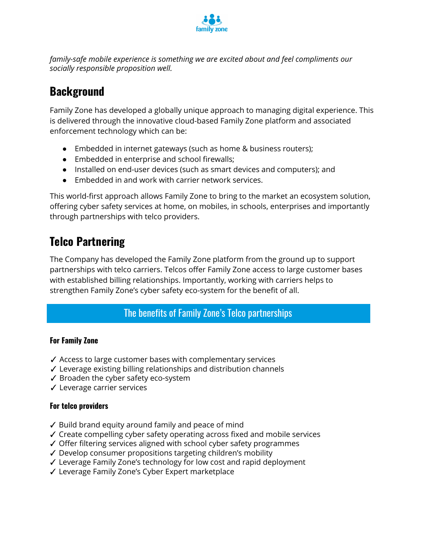

*family-safe mobile experience is something we are excited about and feel compliments our socially responsible proposition well.*

## **Background**

Family Zone has developed a globally unique approach to managing digital experience. This is delivered through the innovative cloud-based Family Zone platform and associated enforcement technology which can be:

- Embedded in internet gateways (such as home & business routers);
- Embedded in enterprise and school firewalls;
- Installed on end-user devices (such as smart devices and computers); and
- Embedded in and work with carrier network services.

This world-first approach allows Family Zone to bring to the market an ecosystem solution, offering cyber safety services at home, on mobiles, in schools, enterprises and importantly through partnerships with telco providers.

## **Telco Partnering**

The Company has developed the Family Zone platform from the ground up to support partnerships with telco carriers. Telcos offer Family Zone access to large customer bases with established billing relationships. Importantly, working with carriers helps to strengthen Family Zone's cyber safety eco-system for the benefit of all.

#### The benefits of Family Zone's Telco partnerships

#### **For Family Zone**

- ✓ Access to large customer bases with complementary services
- ✓ Leverage existing billing relationships and distribution channels
- ✓ Broaden the cyber safety eco-system
- ✓ Leverage carrier services

#### **For telco providers**

- ✓ Build brand equity around family and peace of mind
- ✓ Create compelling cyber safety operating across fixed and mobile services
- ✓ Offer filtering services aligned with school cyber safety programmes
- ✓ Develop consumer propositions targeting children's mobility
- ✓ Leverage Family Zone's technology for low cost and rapid deployment
- ✓ Leverage Family Zone's Cyber Expert marketplace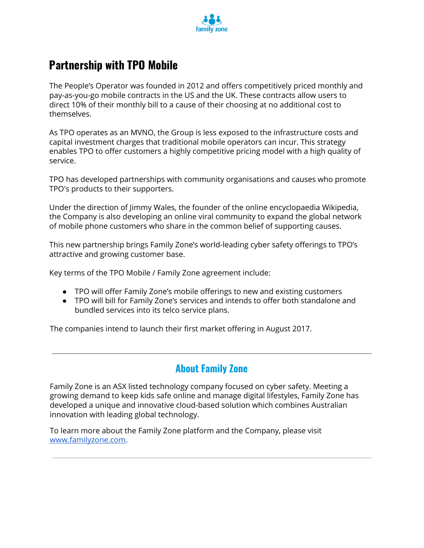

## **Partnership with TPO Mobile**

The People's Operator was founded in 2012 and offers competitively priced monthly and pay-as-you-go mobile contracts in the US and the UK. These contracts allow users to direct 10% of their monthly bill to a cause of their choosing at no additional cost to themselves.

As TPO operates as an MVNO, the Group is less exposed to the infrastructure costs and capital investment charges that traditional mobile operators can incur. This strategy enables TPO to offer customers a highly competitive pricing model with a high quality of service.

TPO has developed partnerships with community organisations and causes who promote TPO's products to their supporters.

Under the direction of Jimmy Wales, the founder of the online encyclopaedia Wikipedia, the Company is also developing an online viral community to expand the global network of mobile phone customers who share in the common belief of supporting causes.

This new partnership brings Family Zone's world-leading cyber safety offerings to TPO's attractive and growing customer base.

Key terms of the TPO Mobile / Family Zone agreement include:

- TPO will offer Family Zone's mobile offerings to new and existing customers
- TPO will bill for Family Zone's services and intends to offer both standalone and bundled services into its telco service plans.

The companies intend to launch their first market offering in August 2017.

#### **About Family Zone**

Family Zone is an ASX listed technology company focused on cyber safety. Meeting a growing demand to keep kids safe online and manage digital lifestyles, Family Zone has developed a unique and innovative cloud-based solution which combines Australian innovation with leading global technology.

To learn more about the Family Zone platform and the Company, please visit [www.familyzone.com.](http://www.familyzone.com/)